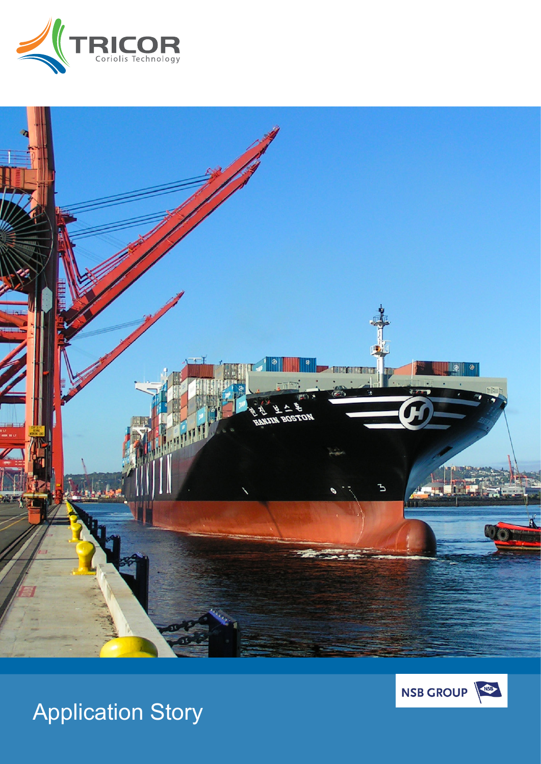





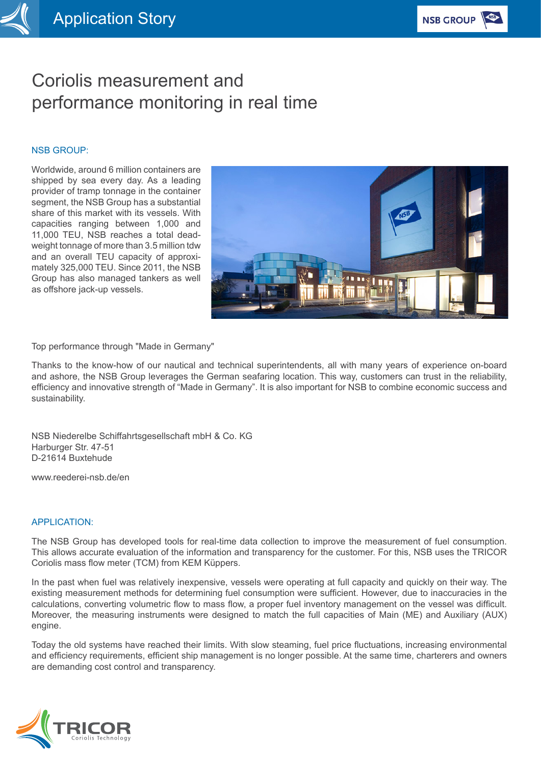# Coriolis measurement and performance monitoring in real time

#### NSB GROUP:

Worldwide, around 6 million containers are shipped by sea every day. As a leading provider of tramp tonnage in the container segment, the NSB Group has a substantial share of this market with its vessels. With capacities ranging between 1,000 and 11,000 TEU, NSB reaches a total deadweight tonnage of more than 3.5 million tdw and an overall TEU capacity of approximately 325,000 TEU. Since 2011, the NSB Group has also managed tankers as well as offshore jack-up vessels.



Top performance through "Made in Germany"

Thanks to the know-how of our nautical and technical superintendents, all with many years of experience on-board and ashore, the NSB Group leverages the German seafaring location. This way, customers can trust in the reliability, efficiency and innovative strength of "Made in Germany". It is also important for NSB to combine economic success and sustainability.

NSB Niederelbe Schiffahrtsgesellschaft mbH & Co. KG Harburger Str. 47-51 D-21614 Buxtehude

www.reederei-nsb.de/en

## APPLICATION:

The NSB Group has developed tools for real-time data collection to improve the measurement of fuel consumption. This allows accurate evaluation of the information and transparency for the customer. For this, NSB uses the TRICOR Coriolis mass flow meter (TCM) from KEM Küppers.

In the past when fuel was relatively inexpensive, vessels were operating at full capacity and quickly on their way. The existing measurement methods for determining fuel consumption were sufficient. However, due to inaccuracies in the calculations, converting volumetric flow to mass flow, a proper fuel inventory management on the vessel was difficult. Moreover, the measuring instruments were designed to match the full capacities of Main (ME) and Auxiliary (AUX) engine.

Today the old systems have reached their limits. With slow steaming, fuel price fluctuations, increasing environmental and efficiency requirements, efficient ship management is no longer possible. At the same time, charterers and owners are demanding cost control and transparency.

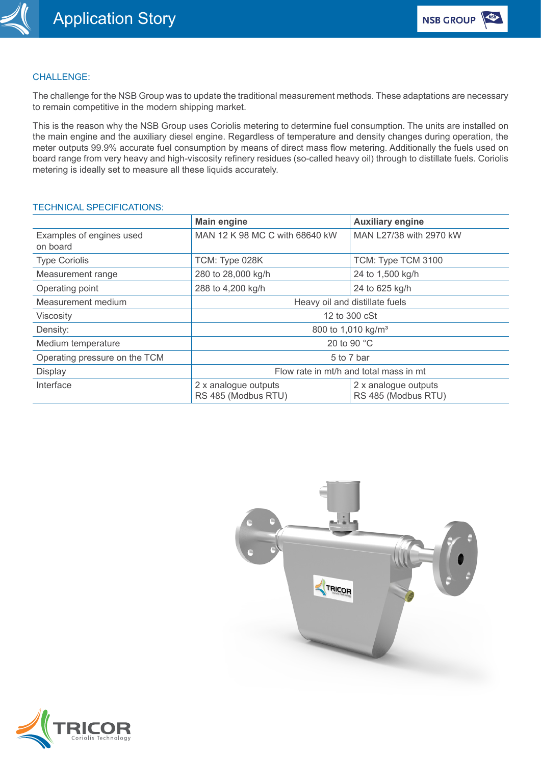

# CHALLENGE:

The challenge for the NSB Group was to update the traditional measurement methods. These adaptations are necessary to remain competitive in the modern shipping market.

This is the reason why the NSB Group uses Coriolis metering to determine fuel consumption. The units are installed on the main engine and the auxiliary diesel engine. Regardless of temperature and density changes during operation, the meter outputs 99.9% accurate fuel consumption by means of direct mass flow metering. Additionally the fuels used on board range from very heavy and high-viscosity refinery residues (so-called heavy oil) through to distillate fuels. Coriolis metering is ideally set to measure all these liquids accurately.

#### TECHNICAL SPECIFICATIONS:

|                                      | <b>Main engine</b>                          | <b>Auxiliary engine</b>                     |
|--------------------------------------|---------------------------------------------|---------------------------------------------|
| Examples of engines used<br>on board | MAN 12 K 98 MC C with 68640 kW              | MAN L27/38 with 2970 kW                     |
| <b>Type Coriolis</b>                 | TCM: Type 028K                              | TCM: Type TCM 3100                          |
| Measurement range                    | 280 to 28,000 kg/h                          | 24 to 1,500 kg/h                            |
| Operating point                      | 288 to 4,200 kg/h                           | 24 to 625 kg/h                              |
| Measurement medium                   | Heavy oil and distillate fuels              |                                             |
| Viscosity                            | 12 to 300 cSt                               |                                             |
| Density:                             | 800 to 1,010 kg/m <sup>3</sup>              |                                             |
| Medium temperature                   | 20 to 90 °C                                 |                                             |
| Operating pressure on the TCM        | 5 to 7 bar                                  |                                             |
| Display                              | Flow rate in mt/h and total mass in mt      |                                             |
| Interface                            | 2 x analogue outputs<br>RS 485 (Modbus RTU) | 2 x analogue outputs<br>RS 485 (Modbus RTU) |